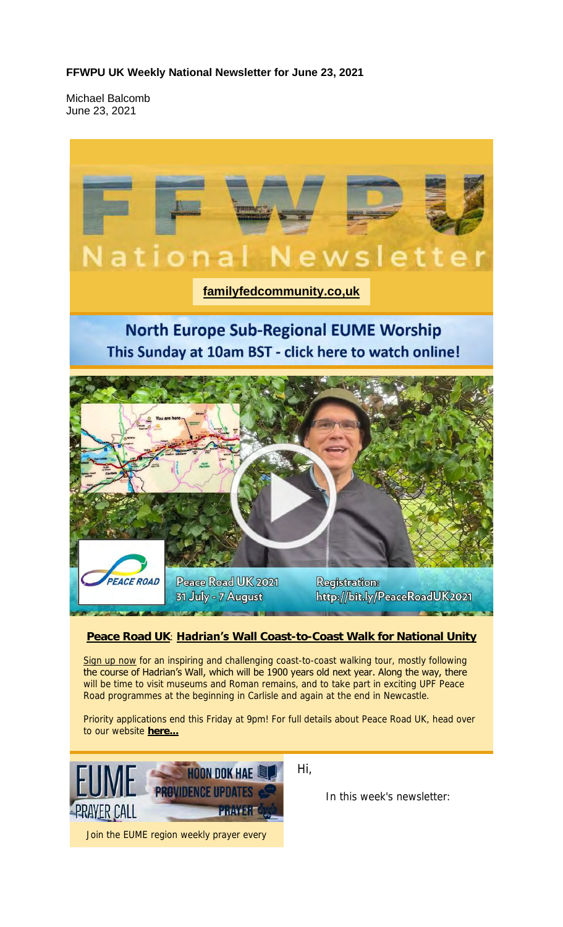#### **FFWPU UK Weekly National Newsletter for June 23, 2021**

Michael Balcomb June 23, 2021

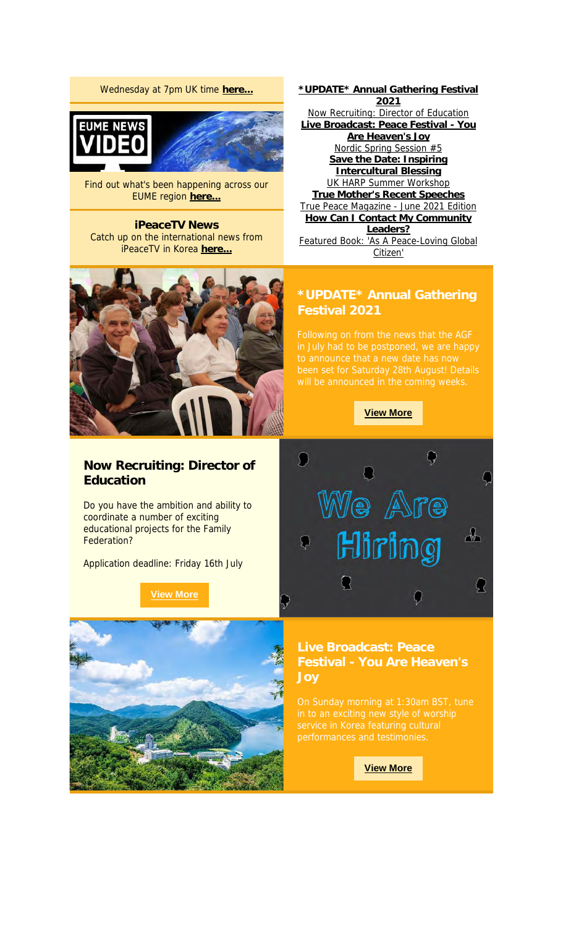#### Wednesday at 7pm UK time **here...**



Find out what's been happening across our EUME region **here...**

**iPeaceTV News** Catch up on the international news from iPeaceTV in Korea **here...**



**Now Recruiting: Director of Education**

Do you have the ambition and ability to coordinate a number of exciting educational projects for the Family Federation?

Application deadline: Friday 16th July

**View More**



**\*UPDATE\* Annual Gathering Festival 2021** Now Recruiting: Director of Education **Live Broadcast: Peace Festival - You Are Heaven's Joy** Nordic Spring Session #5 **Save the Date: Inspiring Intercultural Blessing** UK HARP Summer Workshop **True Mother's Recent Speeches** True Peace Magazine - June 2021 Edition **How Can I Contact My Community Leaders?** Featured Book: 'As A Peace-Loving Global Citizen'

# **\*UPDATE\* Annual Gathering**

**View More**



**Festival - You Are Heaven's Joy**

**View More**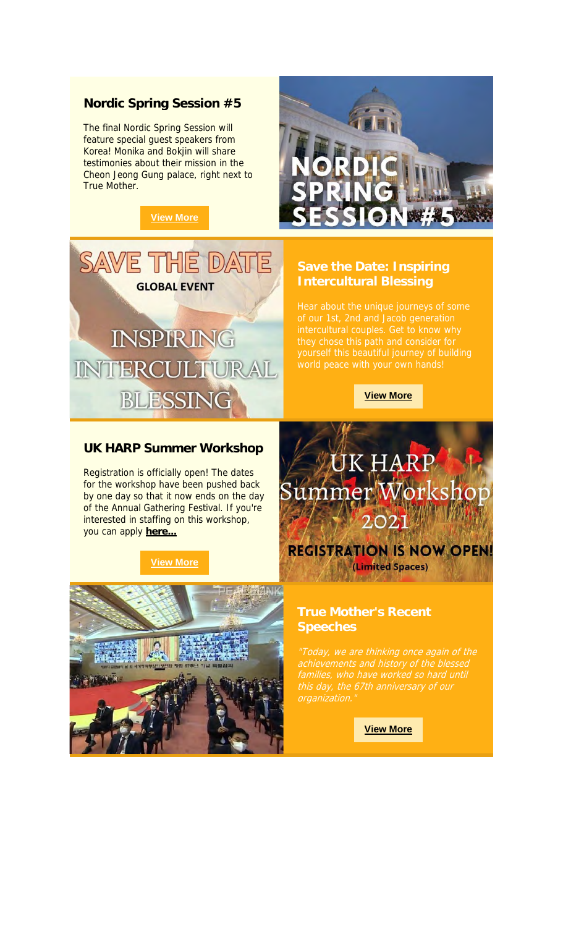#### **Nordic Spring Session #5**

The final Nordic Spring Session will feature special guest speakers from Korea! Monika and Bokjin will share testimonies about their mission in the Cheon Jeong Gung palace, right next to True Mother.

### **View More**



# **Intercultural Blessing**



#### **UK HARP Summer Workshop**

Registration is officially open! The dates for the workshop have been pushed back by one day so that it now ends on the day of the Annual Gathering Festival. If you're interested in staffing on this workshop, you can apply **here...**

#### **View More**





**View More**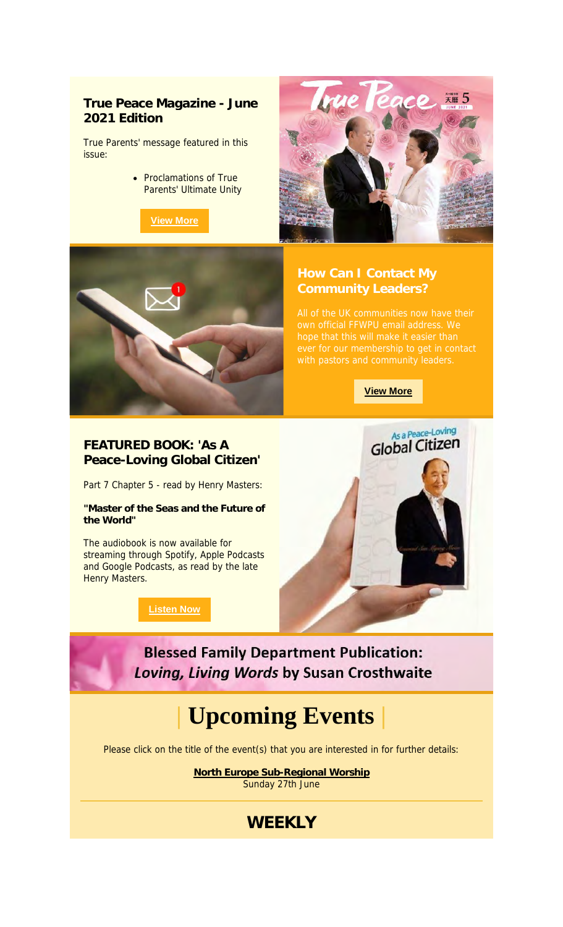#### **True Peace Magazine - June 2021 Edition**

True Parents' message featured in this issue:

> • Proclamations of True Parents' Ultimate Unity





**View More**



### **FEATURED BOOK: 'As A Peace-Loving Global Citizen'**

Part 7 Chapter 5 - read by Henry Masters:

**"Master of the Seas and the Future of the World"**

The audiobook is now available for streaming through Spotify, Apple Podcasts and Google Podcasts, as read by the late Henry Masters.

**Listen Now**



**Blessed Family Department Publication:** Loving, Living Words by Susan Crosthwaite

### **| Upcoming Events |**

Please click on the title of the event(s) that you are interested in for further details:

**North Europe Sub-Regional Worship** Sunday 27th June